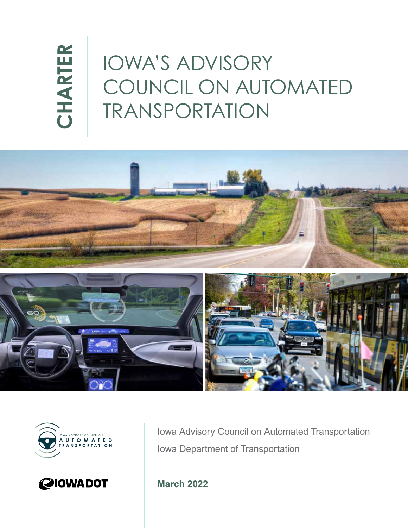# CHARTER **CHARTER**

### IOWA'S ADVISORY COUNCIL ON AUTOMATED TRANSPORTATION







Iowa Advisory Council on Automated Transportation Iowa Department of Transportation

**March 2022**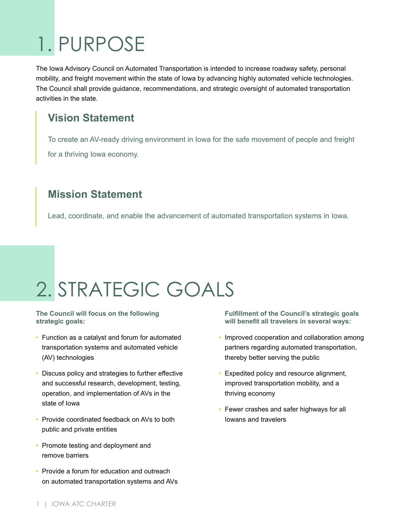# 1. PURPOSE

The Iowa Advisory Council on Automated Transportation is intended to increase roadway safety, personal mobility, and freight movement within the state of Iowa by advancing highly automated vehicle technologies. The Council shall provide guidance, recommendations, and strategic oversight of automated transportation activities in the state.

### **Vision Statement**

To create an AV-ready driving environment in Iowa for the safe movement of people and freight for a thriving Iowa economy.

### **Mission Statement**

Lead, coordinate, and enable the advancement of automated transportation systems in Iowa.

### 2. STRATEGIC GOALS

#### **The Council will focus on the following strategic goals:**

- Function as a catalyst and forum for automated transportation systems and automated vehicle (AV) technologies
- Discuss policy and strategies to further effective and successful research, development, testing, operation, and implementation of AVs in the state of Iowa
- Provide coordinated feedback on AVs to both public and private entities
- Promote testing and deployment and remove barriers
- Provide a forum for education and outreach on automated transportation systems and AVs

**Fulfillment of the Council's strategic goals will benefit all travelers in several ways:** 

- Improved cooperation and collaboration among partners regarding automated transportation, thereby better serving the public
- Expedited policy and resource alignment, improved transportation mobility, and a thriving economy
- Fewer crashes and safer highways for all Iowans and travelers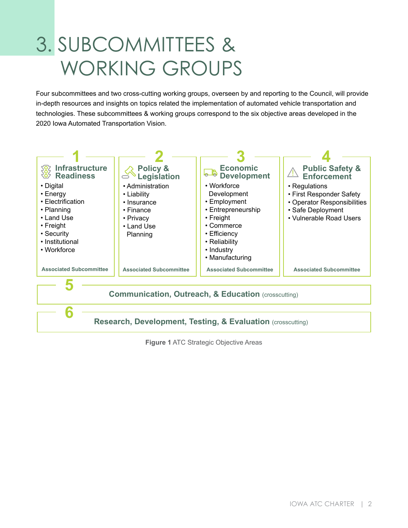### 3. SUBCOMMITTEES & WORKING GROUPS

Four subcommittees and two cross-cutting working groups, overseen by and reporting to the Council, will provide in-depth resources and insights on topics related the implementation of automated vehicle transportation and technologies. These subcommittees & working groups correspond to the six objective areas developed in the 2020 Iowa Automated Transportation Vision.



**Figure 1** ATC Strategic Objective Areas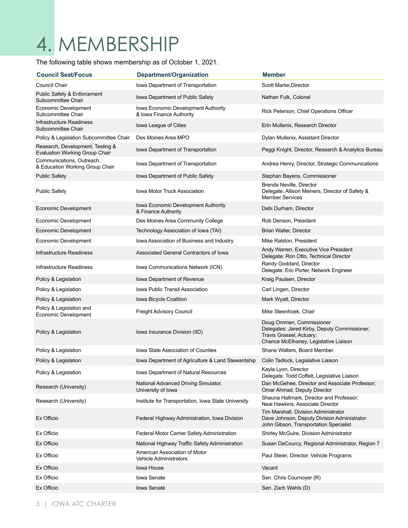### 4. MEMBERSHIP

The following table shows membership as of October 1, 2021.

| <b>Council Seat/Focus</b>                                                 | Department/Organization                                         | <b>Member</b>                                                                                                                                 |
|---------------------------------------------------------------------------|-----------------------------------------------------------------|-----------------------------------------------------------------------------------------------------------------------------------------------|
| Council Chair                                                             | Iowa Department of Transportation                               | Scott Marler, Director                                                                                                                        |
| Public Safety & Enforcement<br>Subcommittee Chair                         | Iowa Department of Public Safety                                | Nathan Fulk, Colonel                                                                                                                          |
| Economic Development<br>Subcommittee Chair                                | Iowa Economic Development Authority<br>& Iowa Finance Authority | Rick Peterson, Chief Operations Officer                                                                                                       |
| Infrastructure Readiness<br>Subcommittee Chair                            | lowa League of Cities                                           | Erin Mullenix, Research Director                                                                                                              |
| Policy & Legislation Subcommittee Chair                                   | Des Moines Area MPO                                             | Dylan Mullenix, Assistant Director                                                                                                            |
| Research, Development, Testing &<br><b>Evaluation Working Group Chair</b> | Iowa Department of Transportation                               | Peggi Knight, Director, Research & Analytics Bureau                                                                                           |
| Communications, Outreach,<br>& Education Working Group Chair              | Iowa Department of Transportation                               | Andrea Henry, Director, Strategic Communications                                                                                              |
| <b>Public Safety</b>                                                      | Iowa Department of Public Safety                                | Stephan Bayens, Commissioner                                                                                                                  |
| <b>Public Safety</b>                                                      | <b>Iowa Motor Truck Association</b>                             | Brenda Neville, Director<br>Delegate: Allison Meiners, Director of Safety &<br><b>Member Services</b>                                         |
| Economic Development                                                      | Iowa Economic Development Authority<br>& Finance Authority      | Debi Durham, Director                                                                                                                         |
| Economic Development                                                      | Des Moines Area Community College                               | Rob Denson, President                                                                                                                         |
| Economic Development                                                      | Technology Association of Iowa (TAI)                            | Brian Waller, Director                                                                                                                        |
| Economic Development                                                      | Iowa Association of Business and Industry                       | Mike Ralston, President                                                                                                                       |
| Infrastructure Readiness                                                  | Associated General Contractors of Iowa                          | Andy Warren, Executive Vice President<br>Delegate: Ron Otto, Technical Director                                                               |
| Infrastructure Readiness                                                  | Iowa Communications Network (ICN)                               | Randy Goddard, Director<br>Delegate: Eric Porter, Network Engineer                                                                            |
| Policy & Legislation                                                      | Iowa Department of Revenue                                      | Kraig Paulsen, Director                                                                                                                       |
| Policy & Legislation                                                      | <b>Iowa Public Transit Association</b>                          | Carl Lingen, Director                                                                                                                         |
| Policy & Legislation                                                      | Iowa Bicycle Coalition                                          | Mark Wyatt, Director                                                                                                                          |
| Policy & Legislation and<br>Economic Development                          | Freight Advisory Council                                        | Mike Steenhoek, Chair                                                                                                                         |
| Policy & Legislation                                                      | Iowa Insurance Division (IID)                                   | Doug Ommen, Commissioner<br>Delegates: Jared Kirby, Deputy Commissioner;<br>Travis Grassel, Actuary;<br>Chance McElhaney, Legislative Liaison |
| Policy & Legislation                                                      | Iowa State Association of Counties                              | Shane Walters, Board Member                                                                                                                   |
| Policy & Legislation                                                      | Iowa Department of Agriculture & Land Stewardship               | Colin Tadlock, Legislative Liaison                                                                                                            |
| Policy & Legislation                                                      | Iowa Department of Natural Resources                            | Kayla Lyon, Director<br>Delegate: Todd Coffelt, Legislative Liaison                                                                           |
| Research (University)                                                     | National Advanced Driving Simulator,<br>University of Iowa      | Dan McGehee, Director and Associate Professor;<br>Omar Ahmad, Deputy Director                                                                 |
| Research (University)                                                     | Institute for Transportation, Iowa State University             | Shauna Hallmark, Director and Professor;<br>Neal Hawkins, Associate Director                                                                  |
| Ex Officio                                                                | Federal Highway Administration, Iowa Division                   | Tim Marshall, Division Administrator<br>Dave Johnson, Deputy Division Administrator<br>John Gibson, Transportation Specialist                 |
| Ex Officio                                                                | Federal Motor Carrier Safety Administration                     | Shirley McGuire, Division Administrator                                                                                                       |
| Ex Officio                                                                | National Highway Traffic Safety Administration                  | Susan DeCourcy, Regional Administrator, Region 7                                                                                              |
| Ex Officio                                                                | American Association of Motor<br><b>Vehicle Administrators</b>  | Paul Steier, Director, Vehicle Programs                                                                                                       |
| Ex Officio                                                                | Iowa House                                                      | Vacant                                                                                                                                        |
| Ex Officio                                                                | <b>Iowa Senate</b>                                              | Sen. Chris Cournoyer (R)                                                                                                                      |
| Ex Officio                                                                | Iowa Senate                                                     | Sen. Zach Wahls (D)                                                                                                                           |